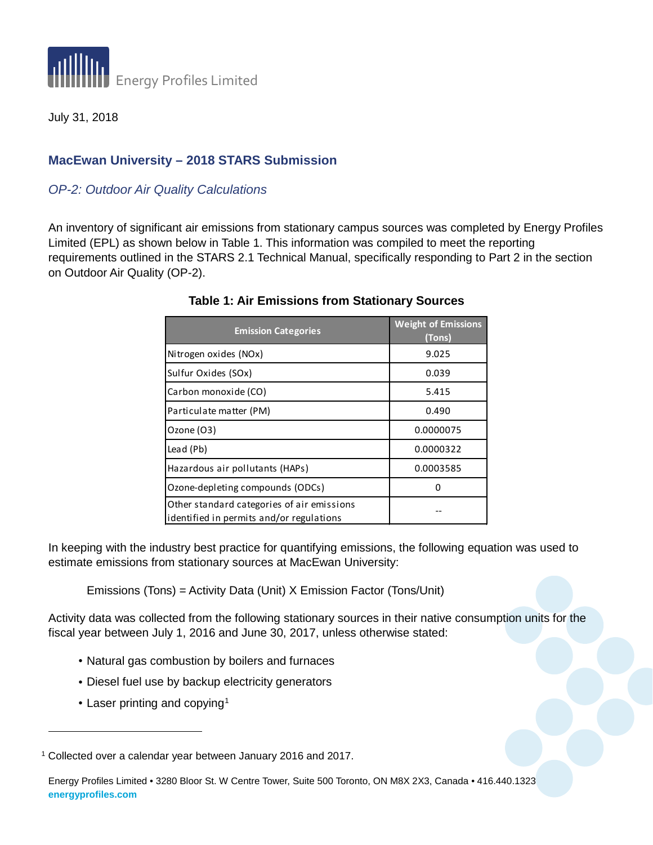

July 31, 2018

## **MacEwan University – 2018 STARS Submission**

## *OP-2: Outdoor Air Quality Calculations*

An inventory of significant air emissions from stationary campus sources was completed by Energy Profiles Limited (EPL) as shown below in Table 1. This information was compiled to meet the reporting requirements outlined in the STARS 2.1 Technical Manual, specifically responding to Part 2 in the section on Outdoor Air Quality (OP-2).

| <b>Emission Categories</b>                                                             | <b>Weight of Emissions</b><br>(Tons) |  |  |
|----------------------------------------------------------------------------------------|--------------------------------------|--|--|
| Nitrogen oxides (NOx)                                                                  | 9.025                                |  |  |
| Sulfur Oxides (SOx)                                                                    | 0.039                                |  |  |
| Carbon monoxide (CO)                                                                   | 5.415                                |  |  |
| Particulate matter (PM)                                                                | 0.490                                |  |  |
| Ozone (O3)                                                                             | 0.0000075                            |  |  |
| Lead (Pb)                                                                              | 0.0000322                            |  |  |
| Hazardous air pollutants (HAPs)                                                        | 0.0003585                            |  |  |
| Ozone-depleting compounds (ODCs)                                                       |                                      |  |  |
| Other standard categories of air emissions<br>identified in permits and/or regulations |                                      |  |  |

## **Table 1: Air Emissions from Stationary Sources**

In keeping with the industry best practice for quantifying emissions, the following equation was used to estimate emissions from stationary sources at MacEwan University:

Emissions (Tons) = Activity Data (Unit) X Emission Factor (Tons/Unit)

Activity data was collected from the following stationary sources in their native consumption units for the fiscal year between July 1, 2016 and June 30, 2017, unless otherwise stated:

- Natural gas combustion by boilers and furnaces
- Diesel fuel use by backup electricity generators
- Laser printing and copying<sup>[1](#page-0-0)</sup>

-

<span id="page-0-0"></span><sup>1</sup> Collected over a calendar year between January 2016 and 2017.

Energy Profiles Limited • 3280 Bloor St. W Centre Tower, Suite 500 Toronto, ON M8X 2X3, Canada • 416.440.1323 **energyprofiles.com**